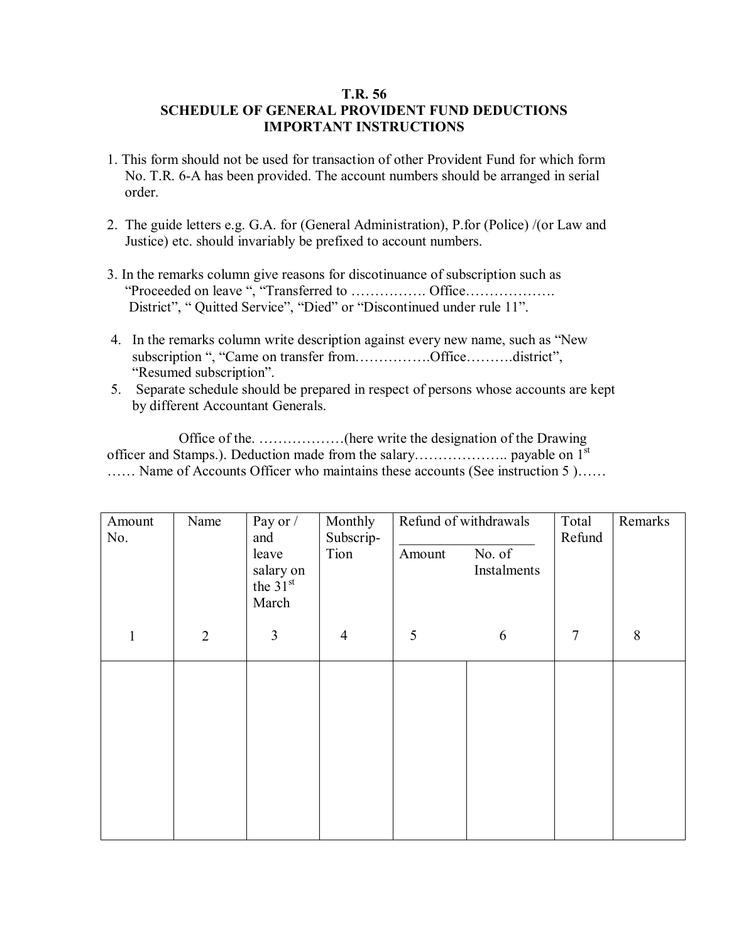## **T.R. 56 SCHEDULE OF GENERAL PROVIDENT FUND DEDUCTIONS IMPORTANT INSTRUCTIONS**

- 1. This form should not be used for transaction of other Provident Fund for which form No. T.R. 6-A has been provided. The account numbers should be arranged in serial order.
- 2. The guide letters e.g. G.A. for (General Administration), P.for (Police) /(or Law and Justice) etc. should invariably be prefixed to account numbers.
- 3. In the remarks column give reasons for discotinuance of subscription such as <sup>"</sup>Proceeded on leave ", "Transferred to ................. Office................... District", "Quitted Service", "Died" or "Discontinued under rule 11".
- 4. In the remarks column write description against every new name, such as "New subscription ", "Came on transfer from...............Office..........district", "Resumed subscription".
- 5. Separate schedule should be prepared in respect of persons whose accounts are kept by different Accountant Generals.

 Office of the. ÖÖÖÖÖÖ(here write the designation of the Drawing officer and Stamps.). Deduction made from the salaryÖÖÖÖÖÖ.. payable on 1st  $\dots$  Name of Accounts Officer who maintains these accounts (See instruction 5 ) $\dots$ 

| Amount<br>No. | Name           | Pay or /<br>and                           | Monthly<br>Subscrip- | Refund of withdrawals |                       | Total<br>Refund | Remarks        |
|---------------|----------------|-------------------------------------------|----------------------|-----------------------|-----------------------|-----------------|----------------|
|               |                | leave<br>salary on<br>the $31st$<br>March | Tion                 | Amount                | No. of<br>Instalments |                 |                |
| $\mathbf{1}$  | $\overline{2}$ | 3                                         | $\overline{4}$       | 5                     | 6                     | $\overline{7}$  | $8\phantom{1}$ |
|               |                |                                           |                      |                       |                       |                 |                |